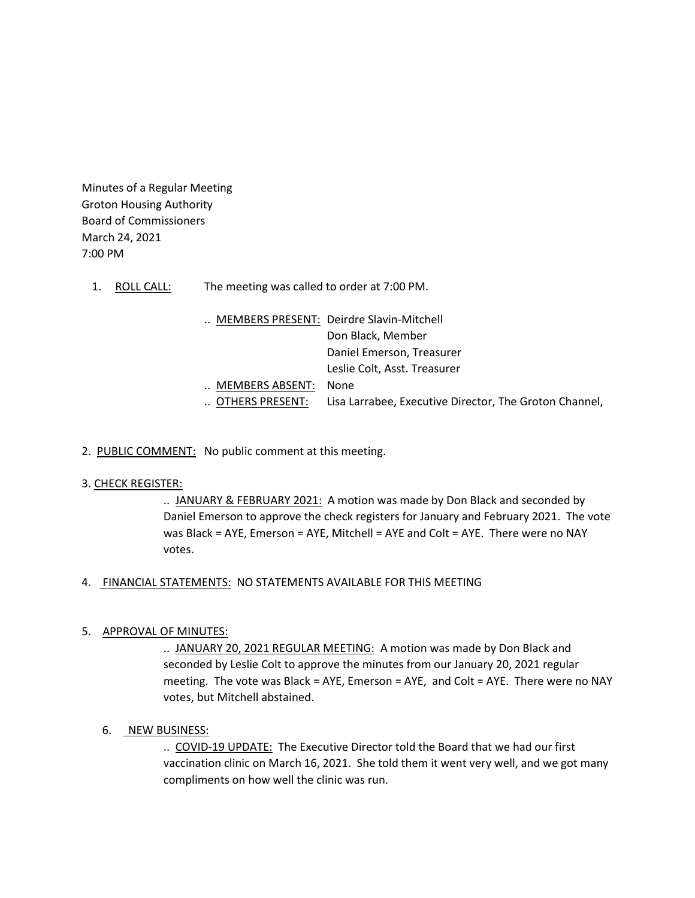Minutes of a Regular Meeting Groton Housing Authority Board of Commissioners March 24, 2021 7:00 PM

- 1. ROLL CALL: The meeting was called to order at 7:00 PM.
	- .. MEMBERS PRESENT: Deirdre Slavin-Mitchell Don Black, Member Daniel Emerson, Treasurer Leslie Colt, Asst. Treasurer .. MEMBERS ABSENT: None .. OTHERS PRESENT: Lisa Larrabee, Executive Director, The Groton Channel,
- 2. PUBLIC COMMENT: No public comment at this meeting.

## 3. CHECK REGISTER:

.. JANUARY & FEBRUARY 2021: A motion was made by Don Black and seconded by Daniel Emerson to approve the check registers for January and February 2021. The vote was Black = AYE, Emerson = AYE, Mitchell = AYE and Colt = AYE. There were no NAY votes.

## 4. FINANCIAL STATEMENTS: NO STATEMENTS AVAILABLE FOR THIS MEETING

# 5. APPROVAL OF MINUTES:

.. JANUARY 20, 2021 REGULAR MEETING: A motion was made by Don Black and seconded by Leslie Colt to approve the minutes from our January 20, 2021 regular meeting. The vote was Black = AYE, Emerson = AYE, and Colt = AYE. There were no NAY votes, but Mitchell abstained.

# 6. NEW BUSINESS:

.. COVID-19 UPDATE: The Executive Director told the Board that we had our first vaccination clinic on March 16, 2021. She told them it went very well, and we got many compliments on how well the clinic was run.